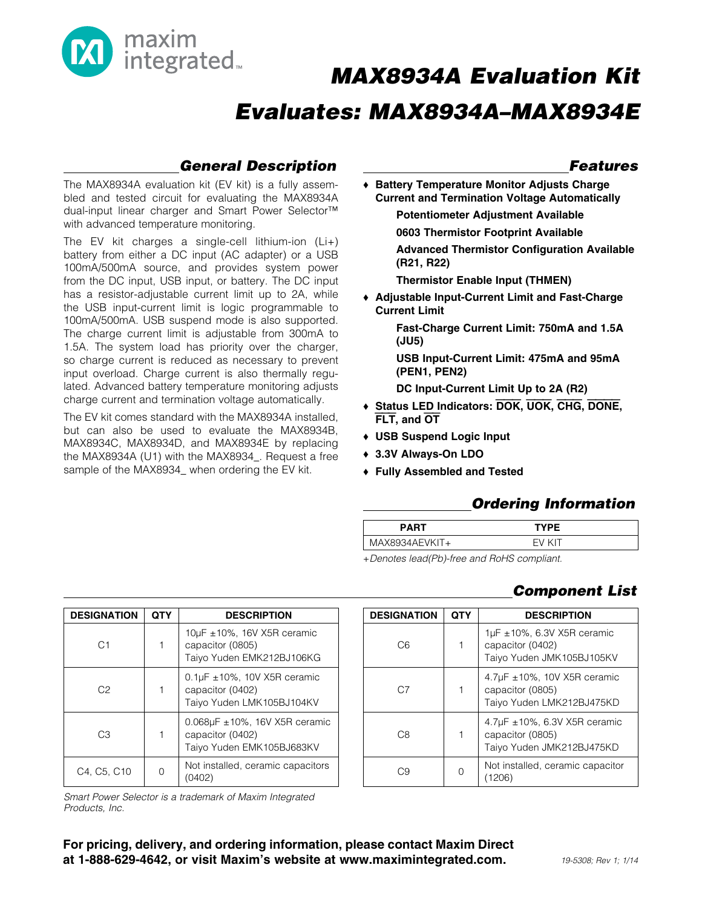

## *General Description*

The MAX8934A evaluation kit (EV kit) is a fully assembled and tested circuit for evaluating the MAX8934A dual-input linear charger and Smart Power Selector<sup>™</sup> with advanced temperature monitoring.

The EV kit charges a single-cell lithium-ion (Li+) battery from either a DC input (AC adapter) or a USB 100mA/500mA source, and provides system power from the DC input, USB input, or battery. The DC input has a resistor-adjustable current limit up to 2A, while the USB input-current limit is logic programmable to 100mA/500mA. USB suspend mode is also supported. The charge current limit is adjustable from 300mA to 1.5A. The system load has priority over the charger, so charge current is reduced as necessary to prevent input overload. Charge current is also thermally regulated. Advanced battery temperature monitoring adjusts charge current and termination voltage automatically.

The EV kit comes standard with the MAX8934A installed, but can also be used to evaluate the MAX8934B, MAX8934C, MAX8934D, and MAX8934E by replacing the MAX8934A (U1) with the MAX8934. Request a free sample of the MAX8934\_ when ordering the EV kit.

### *Features*

◆ Battery Temperature Monitor Adjusts Charge Current and Termination Voltage Automatically

Potentiometer Adjustment Available

0603 Thermistor Footprint Available

Advanced Thermistor Configuration Available (R21, R22)

Thermistor Enable Input (THMEN)

◆ Adjustable Input-Current Limit and Fast-Charge Current Limit

> Fast-Charge Current Limit: 750mA and 1.5A (JU5)

USB Input-Current Limit: 475mA and 95mA (PEN1, PEN2)

DC Input-Current Limit Up to 2A (R2)

- **+ Status LED Indicators: DOK, UOK, CHG, DONE,** FLT, and OT
- ◆ USB Suspend Logic Input
- + 3.3V Always-On LDO
- ◆ Fully Assembled and Tested

## *Ordering Information*

| <b>PART</b>    | <b>TYPE</b> |  |
|----------------|-------------|--|
| MAX8934AEVKIT+ | FV KIT      |  |

+*Denotes lead(Pb)-free and RoHS compliant.*

## *Component List*

| <b>DESIGNATION</b> | QTY | <b>DESCRIPTION</b>                                                                  |
|--------------------|-----|-------------------------------------------------------------------------------------|
| C <sub>6</sub>     |     | $1\mu$ F ±10%, 6.3V X5R ceramic<br>capacitor (0402)<br>Taiyo Yuden JMK105BJ105KV    |
| C.7                |     | 4.7 $\mu$ F ±10%, 10V X5R ceramic<br>capacitor (0805)<br>Taiyo Yuden LMK212BJ475KD  |
| C <sub>8</sub>     |     | 4.7 $\mu$ F ±10%, 6.3V X5R ceramic<br>capacitor (0805)<br>Taiyo Yuden JMK212BJ475KD |
|                    |     | Not installed, ceramic capacitor                                                    |

| <b>DESIGNATION</b> | QTY | <b>DESCRIPTION</b>                                                                       |
|--------------------|-----|------------------------------------------------------------------------------------------|
| C1                 |     | $10\mu$ F ± 10%, 16V X5R ceramic<br>capacitor (0805)<br>Taiyo Yuden EMK212BJ106KG        |
| C2                 |     | 0.1 $\mu$ F $\pm$ 10%, 10V X5R ceramic<br>capacitor (0402)<br>Taiyo Yuden LMK105BJ104KV  |
| С3                 |     | $0.068\mu F \pm 10\%$ , 16V X5R ceramic<br>capacitor (0402)<br>Taiyo Yuden EMK105BJ683KV |
| C4, C5, C10        |     | Not installed, ceramic capacitors<br>(0402)                                              |

*Smart Power Selector is a trademark of Maxim Integrated Products, Inc.*

For pricing, delivery, and ordering information, please contact Maxim Direct at 1-888-629-4642, or visit Maxim's website at www.maximintegrated.com.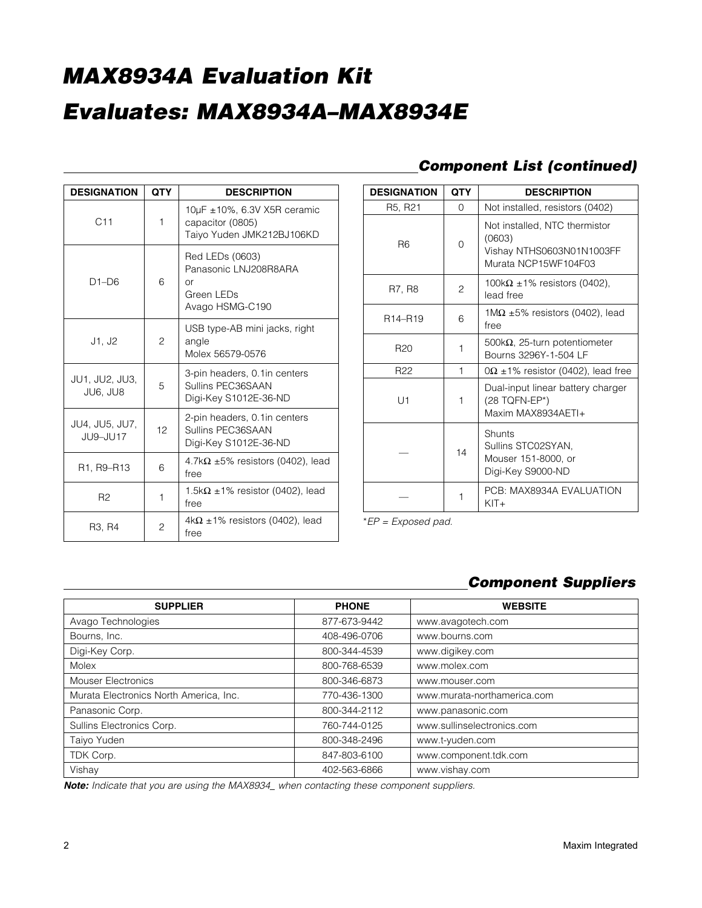| <b>DESIGNATION</b>              | <b>QTY</b>  | <b>DESCRIPTION</b>                                                              |
|---------------------------------|-------------|---------------------------------------------------------------------------------|
| C11                             | $\mathbf 1$ | 10µF ±10%, 6.3V X5R ceramic<br>capacitor (0805)<br>Taiyo Yuden JMK212BJ106KD    |
| $D1-D6$                         | 6           | Red LEDs (0603)<br>Panasonic LNJ208R8ARA<br>Ωr<br>Green LEDs<br>Avago HSMG-C190 |
| J1, J2                          | 2           | USB type-AB mini jacks, right<br>angle<br>Molex 56579-0576                      |
| JU1, JU2, JU3,<br>JU6. JU8      | 5           | 3-pin headers, 0.1in centers<br>Sullins PEC36SAAN<br>Digi-Key S1012E-36-ND      |
| JU4, JU5, JU7,<br>JU9-JU17      | 12          | 2-pin headers, 0.1in centers<br>Sullins PEC36SAAN<br>Digi-Key S1012E-36-ND      |
| R1, R9–R13                      | 6           | 4.7k $\Omega$ ±5% resistors (0402), lead<br>free                                |
| R <sub>2</sub>                  | $\mathbf 1$ | 1.5k $\Omega$ ±1% resistor (0402), lead<br>free                                 |
| R <sub>3</sub> , R <sub>4</sub> | 2           | $4k\Omega \pm 1\%$ resistors (0402), lead<br>free                               |

## *Component List (continued)*

| <b>DESIGNATION</b>               | <b>QTY</b> | <b>DESCRIPTION</b>                                                                           |
|----------------------------------|------------|----------------------------------------------------------------------------------------------|
| R <sub>5</sub> , R <sub>21</sub> | 0          | Not installed, resistors (0402)                                                              |
| R <sub>6</sub>                   | $\Omega$   | Not installed, NTC thermistor<br>(0603)<br>Vishay NTHS0603N01N1003FF<br>Murata NCP15WF104F03 |
| R7, R8                           | 2          | 100k $\Omega$ ±1% resistors (0402),<br>lead free                                             |
| R <sub>14</sub> -R <sub>19</sub> | 6          | $1\text{M}\Omega$ ±5% resistors (0402), lead<br>free                                         |
| R <sub>20</sub><br>1             |            | 500 $k\Omega$ , 25-turn potentiometer<br>Bourns 3296Y-1-504 LF                               |
| R <sub>22</sub><br>1             |            | $0\Omega \pm 1\%$ resistor (0402), lead free                                                 |
| U1                               | 1          | Dual-input linear battery charger<br>$(28 TQFN-EP*)$<br>Maxim MAX8934AFTI+                   |
| 14                               |            | Shunts<br>Sullins STC02SYAN,<br>Mouser 151-8000, or<br>Digi-Key S9000-ND                     |
|                                  | 1          | PCB: MAX8934A EVALUATION<br>$KIT+$                                                           |

\**EP = Exposed pad.*

## *Component Suppliers*

| <b>SUPPLIER</b>                        | <b>PHONE</b> | <b>WEBSITE</b>              |
|----------------------------------------|--------------|-----------------------------|
| Avago Technologies                     | 877-673-9442 | www.avagotech.com           |
| Bourns, Inc.                           | 408-496-0706 | www.bourns.com              |
| Digi-Key Corp.                         | 800-344-4539 | www.digikey.com             |
| Molex                                  | 800-768-6539 | www.molex.com               |
| <b>Mouser Electronics</b>              | 800-346-6873 | www.mouser.com              |
| Murata Electronics North America, Inc. | 770-436-1300 | www.murata-northamerica.com |
| Panasonic Corp.                        | 800-344-2112 | www.panasonic.com           |
| Sullins Electronics Corp.              | 760-744-0125 | www.sullinselectronics.com  |
| Taiyo Yuden                            | 800-348-2496 | www.t-yuden.com             |
| TDK Corp.                              | 847-803-6100 | www.component.tdk.com       |
| Vishay                                 | 402-563-6866 | www.vishay.com              |

*Note: Indicate that you are using the MAX8934\_ when contacting these component suppliers.*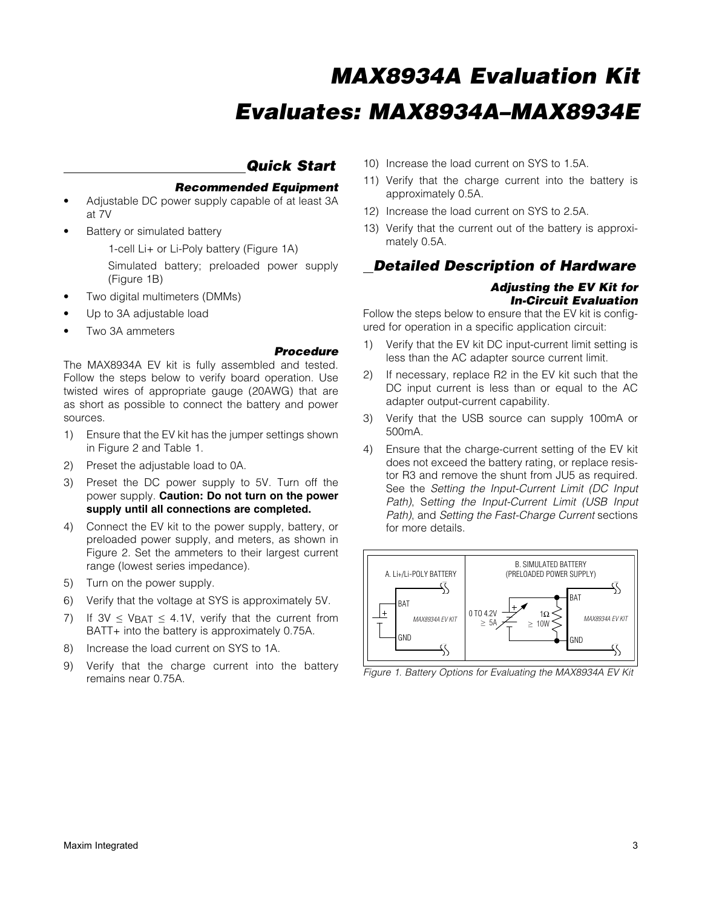### *Quick Start*

### *Recommended Equipment*

- Adjustable DC power supply capable of at least 3A at 7V
- Battery or simulated battery

1-cell Li+ or Li-Poly battery (Figure 1A)

- Simulated battery; preloaded power supply (Figure 1B)
- Two digital multimeters (DMMs)
- Up to 3A adjustable load
- Two 3A ammeters

### *Procedure*

The MAX8934A EV kit is fully assembled and tested. Follow the steps below to verify board operation. Use twisted wires of appropriate gauge (20AWG) that are as short as possible to connect the battery and power sources.

- 1) Ensure that the EV kit has the jumper settings shown in Figure 2 and Table 1.
- 2) Preset the adjustable load to 0A.
- 3) Preset the DC power supply to 5V. Turn off the power supply. Caution: Do not turn on the power supply until all connections are completed.
- 4) Connect the EV kit to the power supply, battery, or preloaded power supply, and meters, as shown in Figure 2. Set the ammeters to their largest current range (lowest series impedance).
- 5) Turn on the power supply.
- 6) Verify that the voltage at SYS is approximately 5V.
- 7) If  $3V \leq V_{BAT} \leq 4.1V$ , verify that the current from BATT+ into the battery is approximately 0.75A.
- 8) Increase the load current on SYS to 1A.
- 9) Verify that the charge current into the battery remains near 0.75A.
- 10) Increase the load current on SYS to 1.5A.
- 11) Verify that the charge current into the battery is approximately 0.5A.
- 12) Increase the load current on SYS to 2.5A.
- 13) Verify that the current out of the battery is approximately 0.5A.

### *Detailed Description of Hardware*

### *Adjusting the EV Kit for In-Circuit Evaluation*

Follow the steps below to ensure that the EV kit is configured for operation in a specific application circuit:

- 1) Verify that the EV kit DC input-current limit setting is less than the AC adapter source current limit.
- 2) If necessary, replace R2 in the EV kit such that the DC input current is less than or equal to the AC adapter output-current capability.
- 3) Verify that the USB source can supply 100mA or 500mA.
- 4) Ensure that the charge-current setting of the EV kit does not exceed the battery rating, or replace resistor R3 and remove the shunt from JU5 as required. See the *Setting the Input-Current Limit (DC Input Path)*, S*etting the Input-Current Limit (USB Input Path)*, and *Setting the Fast-Charge Current* sections for more details.



*Figure 1. Battery Options for Evaluating the MAX8934A EV Kit*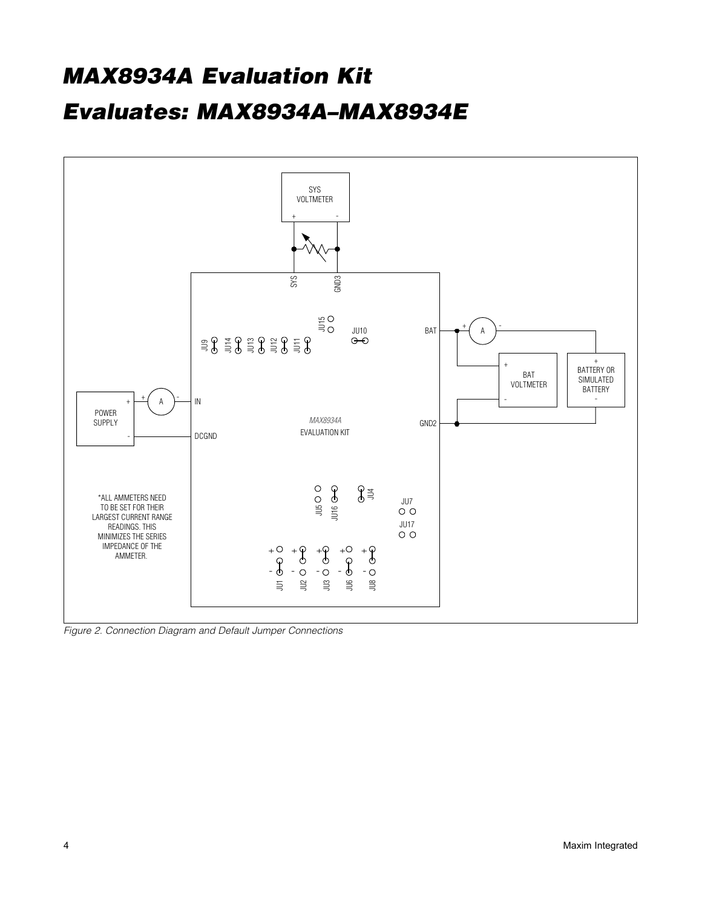

*Figure 2. Connection Diagram and Default Jumper Connections*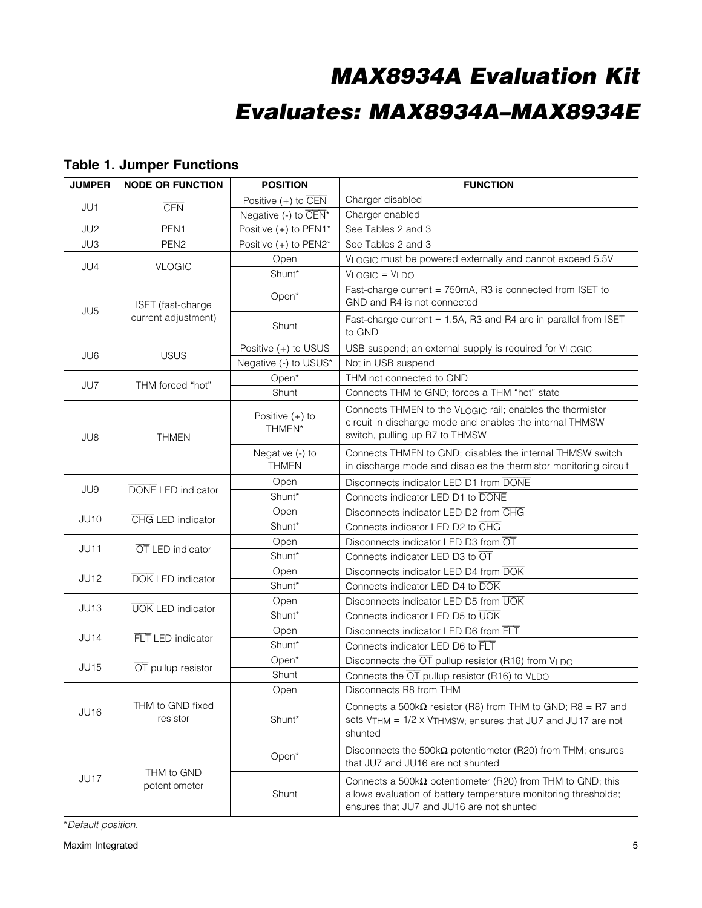| <b>JUMPER</b>                               | <b>NODE OR FUNCTION</b>   | <b>POSITION</b>                                                                          | <b>FUNCTION</b>                                                                                                                                                                    |  |  |
|---------------------------------------------|---------------------------|------------------------------------------------------------------------------------------|------------------------------------------------------------------------------------------------------------------------------------------------------------------------------------|--|--|
|                                             |                           | Positive $(+)$ to CEN                                                                    | Charger disabled                                                                                                                                                                   |  |  |
| JU1                                         | <b>CEN</b>                | Negative (-) to $\overline{CEN}^*$                                                       | Charger enabled                                                                                                                                                                    |  |  |
| JU2                                         | PEN1                      | Positive (+) to PEN1*                                                                    | See Tables 2 and 3                                                                                                                                                                 |  |  |
| JU3                                         | PEN <sub>2</sub>          | Positive (+) to PEN2*                                                                    | See Tables 2 and 3                                                                                                                                                                 |  |  |
| JU4                                         | <b>VLOGIC</b>             | Open                                                                                     | VLOGIC must be powered externally and cannot exceed 5.5V                                                                                                                           |  |  |
|                                             |                           | Shunt*                                                                                   | $VLOGIC = VLDO$                                                                                                                                                                    |  |  |
| ISET (fast-charge                           | Open*                     | Fast-charge current = 750mA, R3 is connected from ISET to<br>GND and R4 is not connected |                                                                                                                                                                                    |  |  |
| JU <sub>5</sub>                             | current adjustment)       | Shunt                                                                                    | Fast-charge current = 1.5A, R3 and R4 are in parallel from ISET<br>to GND                                                                                                          |  |  |
| JU6                                         | <b>USUS</b>               | Positive (+) to USUS                                                                     | USB suspend; an external supply is required for VLOGIC                                                                                                                             |  |  |
|                                             |                           | Negative (-) to USUS*                                                                    | Not in USB suspend                                                                                                                                                                 |  |  |
| JU7                                         | THM forced "hot"          | Open*                                                                                    | THM not connected to GND                                                                                                                                                           |  |  |
|                                             |                           | Shunt                                                                                    | Connects THM to GND; forces a THM "hot" state                                                                                                                                      |  |  |
| JU8                                         | <b>THMEN</b>              | Positive $(+)$ to<br>THMEN*                                                              | Connects THMEN to the VLOGIC rail; enables the thermistor<br>circuit in discharge mode and enables the internal THMSW<br>switch, pulling up R7 to THMSW                            |  |  |
|                                             |                           | Negative (-) to<br><b>THMEN</b>                                                          | Connects THMEN to GND; disables the internal THMSW switch<br>in discharge mode and disables the thermistor monitoring circuit                                                      |  |  |
| JU9                                         | <b>DONE</b> LED indicator | Open                                                                                     | Disconnects indicator LED D1 from DONE                                                                                                                                             |  |  |
|                                             |                           | Shunt*                                                                                   | Connects indicator LED D1 to DONE                                                                                                                                                  |  |  |
| <b>JU10</b>                                 | CHG LED indicator         | Open                                                                                     | Disconnects indicator LED D2 from CHG                                                                                                                                              |  |  |
|                                             |                           | Shunt*                                                                                   | Connects indicator LED D2 to CHG                                                                                                                                                   |  |  |
| <b>JU11</b>                                 | OT LED indicator          | Open                                                                                     | Disconnects indicator LED D3 from OT                                                                                                                                               |  |  |
|                                             |                           | Shunt*                                                                                   | Connects indicator LED D3 to OT                                                                                                                                                    |  |  |
| <b>JU12</b>                                 | <b>DOK LED indicator</b>  | Open                                                                                     | Disconnects indicator LED D4 from DOK                                                                                                                                              |  |  |
|                                             |                           | Shunt*                                                                                   | Connects indicator LED D4 to DOK                                                                                                                                                   |  |  |
| JU13                                        | <b>UOK LED indicator</b>  | Open                                                                                     | Disconnects indicator LED D5 from UOK                                                                                                                                              |  |  |
|                                             |                           | Shunt*                                                                                   | Connects indicator LED D5 to UOK                                                                                                                                                   |  |  |
| <b>JU14</b>                                 | FLT LED indicator         | Open                                                                                     | Disconnects indicator LED D6 from FLT                                                                                                                                              |  |  |
|                                             |                           | Shunt*                                                                                   | Connects indicator LED D6 to FLT                                                                                                                                                   |  |  |
| <b>JU15</b>                                 | OT pullup resistor        | Open*                                                                                    | Disconnects the OT pullup resistor (R16) from VLDO                                                                                                                                 |  |  |
|                                             |                           | Shunt                                                                                    | Connects the $\overline{OT}$ pullup resistor (R16) to VLDO                                                                                                                         |  |  |
|                                             | Open                      | Disconnects R8 from THM                                                                  |                                                                                                                                                                                    |  |  |
| THM to GND fixed<br><b>JU16</b><br>resistor |                           | Shunt*                                                                                   | Connects a 500k $\Omega$ resistor (R8) from THM to GND; R8 = R7 and<br>sets $V$ THM = $1/2 \times V$ THMSW; ensures that JU7 and JU17 are not<br>shunted                           |  |  |
|                                             | THM to GND                | Open*                                                                                    | Disconnects the $500k\Omega$ potentiometer (R20) from THM; ensures<br>that JU7 and JU16 are not shunted                                                                            |  |  |
| JU17                                        | potentiometer             | Shunt                                                                                    | Connects a 500 $k\Omega$ potentiometer (R20) from THM to GND; this<br>allows evaluation of battery temperature monitoring thresholds;<br>ensures that JU7 and JU16 are not shunted |  |  |

## Table 1. Jumper Functions

\**Default position.*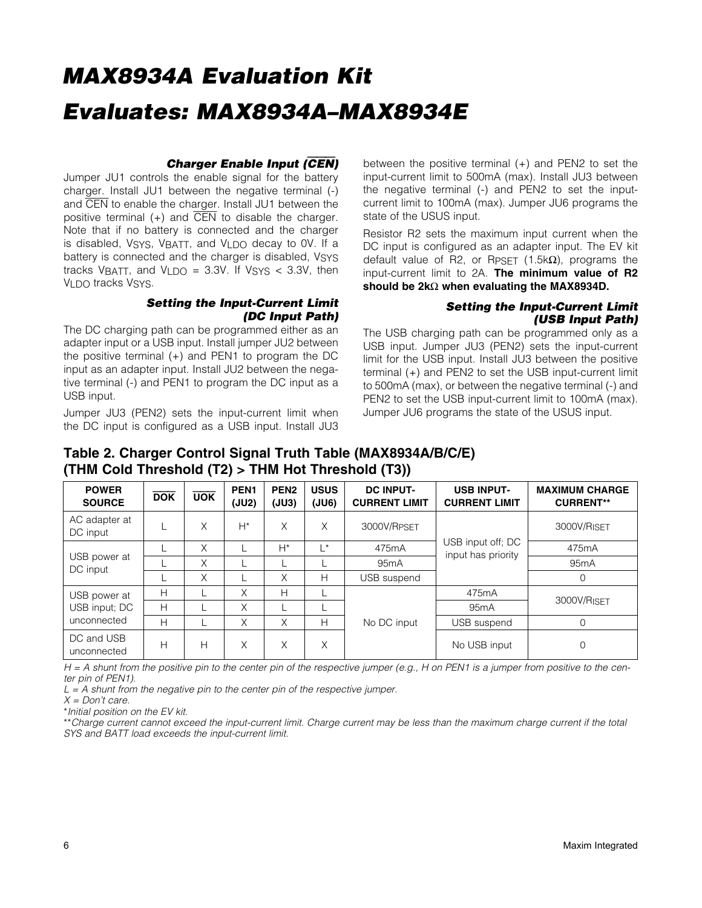### *Charger Enable Input (*CEN*)*

Jumper JU1 controls the enable signal for the battery charger. Install JU1 between the negative terminal (-) and CEN to enable the charger. Install JU1 between the positive terminal  $(+)$  and  $\overline{CEN}$  to disable the charger. Note that if no battery is connected and the charger is disabled, VSYS, VBATT, and VLDO decay to 0V. If a battery is connected and the charger is disabled, VSYS tracks VBATT, and VLDO =  $3.3V$ . If VSYS <  $3.3V$ , then VLDO tracks VSYS.

### *Setting the Input-Current Limit (DC Input Path)*

The DC charging path can be programmed either as an adapter input or a USB input. Install jumper JU2 between the positive terminal (+) and PEN1 to program the DC input as an adapter input. Install JU2 between the negative terminal (-) and PEN1 to program the DC input as a USB input.

Jumper JU3 (PEN2) sets the input-current limit when the DC input is configured as a USB input. Install JU3 between the positive terminal (+) and PEN2 to set the input-current limit to 500mA (max). Install JU3 between the negative terminal (-) and PEN2 to set the inputcurrent limit to 100mA (max). Jumper JU6 programs the state of the USUS input.

Resistor R2 sets the maximum input current when the DC input is configured as an adapter input. The EV kit default value of R2, or RpsET (1.5k $\Omega$ ), programs the input-current limit to 2A. The minimum value of R2 should be  $2k\Omega$  when evaluating the MAX8934D.

### *Setting the Input-Current Limit (USB Input Path)*

The USB charging path can be programmed only as a USB input. Jumper JU3 (PEN2) sets the input-current limit for the USB input. Install JU3 between the positive terminal (+) and PEN2 to set the USB input-current limit to 500mA (max), or between the negative terminal (-) and PEN2 to set the USB input-current limit to 100mA (max). Jumper JU6 programs the state of the USUS input.

## Table 2. Charger Control Signal Truth Table (MAX8934A/B/C/E) (THM Cold Threshold (T2) > THM Hot Threshold (T3))

| <b>POWER</b><br><b>SOURCE</b> | <b>DOK</b> | <b>UOK</b> | PEN <sub>1</sub><br>(JU2) | PEN <sub>2</sub><br>(JU3) | <b>USUS</b><br>(JU6) | <b>DC INPUT-</b><br><b>CURRENT LIMIT</b> | <b>USB INPUT-</b><br><b>CURRENT LIMIT</b> | <b>MAXIMUM CHARGE</b><br><b>CURRENT**</b> |  |
|-------------------------------|------------|------------|---------------------------|---------------------------|----------------------|------------------------------------------|-------------------------------------------|-------------------------------------------|--|
| AC adapter at<br>DC input     |            | Χ          | $H^*$                     | Χ                         | Χ                    | 3000V/RPSFT                              |                                           | 3000V/RISFT                               |  |
| USB power at<br>DC input      |            | X          |                           | $H^*$                     | $\star$<br>475mA     |                                          | USB input off; DC<br>input has priority   | 475mA                                     |  |
|                               |            | X          |                           |                           |                      | 95 <sub>m</sub> A                        |                                           | 95 <sub>m</sub> A                         |  |
|                               |            | X          |                           | Χ                         | Н                    | USB suspend                              |                                           | $\mathbf 0$                               |  |
| USB power at                  | Н          |            | X                         | H                         |                      |                                          | 475mA                                     |                                           |  |
| USB input; DC                 | н          |            | Χ                         |                           |                      |                                          | 95 <sub>m</sub> A                         | 3000V/RISET                               |  |
| unconnected                   | н          |            | X                         | X                         | Н                    | No DC input                              | USB suspend                               | 0                                         |  |
| DC and USB<br>unconnected     | н          | Н          | X                         | X                         | Χ                    |                                          | No USB input                              | 0                                         |  |

*H = A shunt from the positive pin to the center pin of the respective jumper (e.g., H on PEN1 is a jumper from positive to the center pin of PEN1).*

*L = A shunt from the negative pin to the center pin of the respective jumper.*

*X = Don't care.*

\**Initial position on the EV kit.*

\*\**Charge current cannot exceed the input-current limit. Charge current may be less than the maximum charge current if the total SYS and BATT load exceeds the input-current limit.*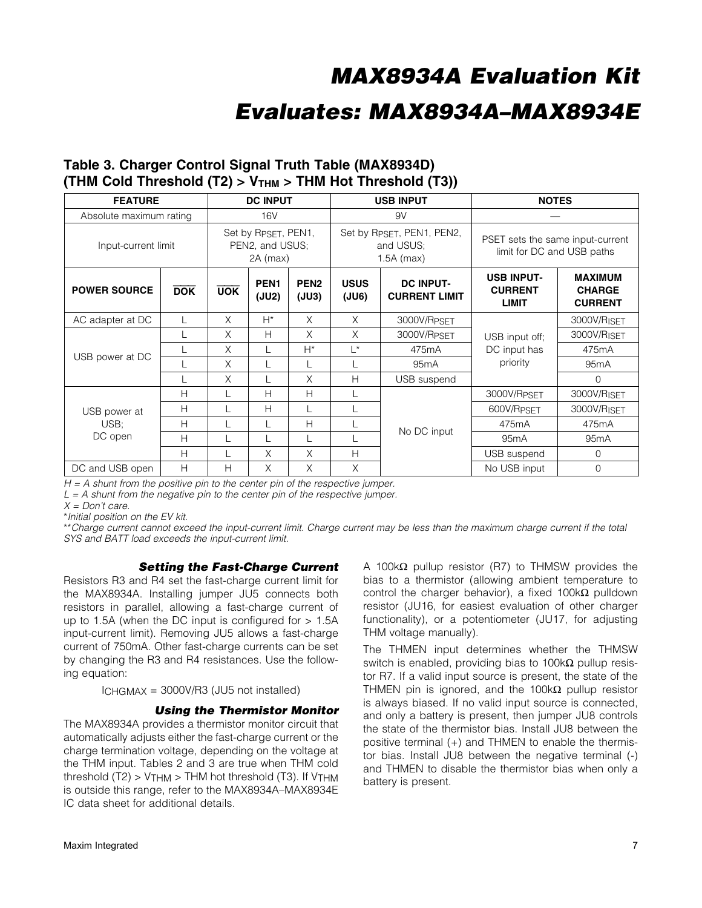# *MAX8934A Evaluation Kit*

## *Evaluates: MAX8934A–MAX8934E*

## Table 3. Charger Control Signal Truth Table (MAX8934D) (THM Cold Threshold  $(T2) > V_{THM} > THM$  Hot Threshold  $(T3)$ )

| <b>FEATURE</b>          |            |                                                      | <b>DC INPUT</b>           |                           |                                                        | <b>USB INPUT</b>                  | <b>NOTES</b>                                                   |                                                   |
|-------------------------|------------|------------------------------------------------------|---------------------------|---------------------------|--------------------------------------------------------|-----------------------------------|----------------------------------------------------------------|---------------------------------------------------|
| Absolute maximum rating |            | 16 <sub>V</sub>                                      |                           |                           |                                                        | 9V                                |                                                                |                                                   |
| Input-current limit     |            | Set by RPSET, PEN1,<br>PEN2, and USUS;<br>$2A$ (max) |                           |                           | Set by RPSET, PEN1, PEN2,<br>and USUS:<br>$1.5A$ (max) |                                   | PSET sets the same input-current<br>limit for DC and USB paths |                                                   |
| <b>POWER SOURCE</b>     | <b>DOK</b> | <b>UOK</b>                                           | PEN <sub>1</sub><br>(JU2) | PEN <sub>2</sub><br>(JU3) | <b>USUS</b><br>(JU6)                                   | DC INPUT-<br><b>CURRENT LIMIT</b> | <b>USB INPUT-</b><br><b>CURRENT</b><br><b>LIMIT</b>            | <b>MAXIMUM</b><br><b>CHARGE</b><br><b>CURRENT</b> |
| AC adapter at DC        |            | X                                                    | $H^*$                     | X                         | $\times$                                               | 3000V/RPSET                       | USB input off:<br>DC input has<br>priority                     | 3000V/RISET                                       |
|                         |            | X                                                    | H                         | X                         | $\times$                                               | 3000V/RPSET                       |                                                                | 3000V/RISET                                       |
|                         |            | X                                                    | L                         | $H^*$                     | $L^*$                                                  | 475mA                             |                                                                | 475mA                                             |
| USB power at DC         |            | X                                                    | L                         |                           |                                                        | 95 <sub>m</sub> A                 |                                                                | 95 <sub>m</sub> A                                 |
|                         |            | X                                                    |                           | X                         | H                                                      | USB suspend                       |                                                                | $\Omega$                                          |
|                         | H          |                                                      | H                         | H                         |                                                        |                                   | 3000V/RPSET                                                    | 3000V/RISET                                       |
| USB power at            | H          |                                                      | H                         |                           |                                                        |                                   | 600V/RPSET                                                     | 3000V/RISET                                       |
| USB:                    | H          |                                                      |                           | H                         |                                                        | No DC input                       | 475mA                                                          | 475mA                                             |
| DC open                 | H          |                                                      |                           |                           |                                                        |                                   | 95 <sub>m</sub> A                                              | 95 <sub>m</sub> A                                 |
|                         | H          |                                                      | $\times$                  | X                         | H                                                      |                                   | USB suspend                                                    | $\Omega$                                          |
| DC and USB open         | H          | H                                                    | X                         | X                         | X                                                      |                                   | No USB input                                                   | $\Omega$                                          |

*H = A shunt from the positive pin to the center pin of the respective jumper.*

*L = A shunt from the negative pin to the center pin of the respective jumper.*

*X = Don't care.*

\**Initial position on the EV kit.*

\*\**Charge current cannot exceed the input-current limit. Charge current may be less than the maximum charge current if the total SYS and BATT load exceeds the input-current limit.*

### *Setting the Fast-Charge Current*

Resistors R3 and R4 set the fast-charge current limit for the MAX8934A. Installing jumper JU5 connects both resistors in parallel, allowing a fast-charge current of up to 1.5A (when the DC input is configured for  $> 1.5A$ input-current limit). Removing JU5 allows a fast-charge current of 750mA. Other fast-charge currents can be set by changing the R3 and R4 resistances. Use the following equation:

ICHGMAX = 3000V/R3 (JU5 not installed)

### *Using the Thermistor Monitor*

The MAX8934A provides a thermistor monitor circuit that automatically adjusts either the fast-charge current or the charge termination voltage, depending on the voltage at the THM input. Tables 2 and 3 are true when THM cold threshold  $(T2)$  >  $VTHM$  > THM hot threshold  $(T3)$ . If  $VTHM$ is outside this range, refer to the MAX8934A–MAX8934E IC data sheet for additional details.

A 100k $\Omega$  pullup resistor (R7) to THMSW provides the bias to a thermistor (allowing ambient temperature to control the charger behavior), a fixed  $100k\Omega$  pulldown resistor (JU16, for easiest evaluation of other charger functionality), or a potentiometer (JU17, for adjusting THM voltage manually).

The THMEN input determines whether the THMSW switch is enabled, providing bias to 100k $\Omega$  pullup resistor R7. If a valid input source is present, the state of the THMEN pin is ignored, and the 100k $\Omega$  pullup resistor is always biased. If no valid input source is connected, and only a battery is present, then jumper JU8 controls the state of the thermistor bias. Install JU8 between the positive terminal (+) and THMEN to enable the thermistor bias. Install JU8 between the negative terminal (-) and THMEN to disable the thermistor bias when only a battery is present.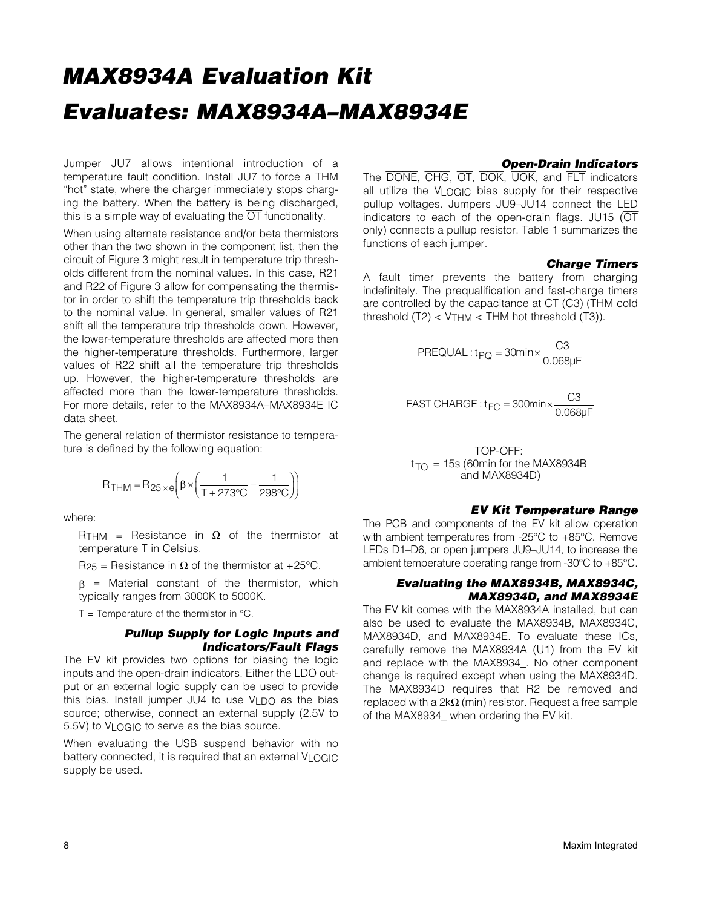Jumper JU7 allows intentional introduction of a temperature fault condition. Install JU7 to force a THM "hot" state, where the charger immediately stops charging the battery. When the battery is being discharged, this is a simple way of evaluating the  $\overline{OT}$  functionality.

When using alternate resistance and/or beta thermistors other than the two shown in the component list, then the circuit of Figure 3 might result in temperature trip thresholds different from the nominal values. In this case, R21 and R22 of Figure 3 allow for compensating the thermistor in order to shift the temperature trip thresholds back to the nominal value. In general, smaller values of R21 shift all the temperature trip thresholds down. However, the lower-temperature thresholds are affected more then the higher-temperature thresholds. Furthermore, larger values of R22 shift all the temperature trip thresholds up. However, the higher-temperature thresholds are affected more than the lower-temperature thresholds. For more details, refer to the MAX8934A–MAX8934E IC data sheet.

The general relation of thermistor resistance to temperature is defined by the following equation:

$$
R_{THM} = R_{25 \times e} \left( \beta \times \left( \frac{1}{T + 273^{\circ}C} - \frac{1}{298^{\circ}C} \right) \right)
$$

where:

RTHM = Resistance in  $\Omega$  of the thermistor at temperature T in Celsius.

R<sub>25</sub> = Resistance in  $\Omega$  of the thermistor at +25°C.

 $\beta$  = Material constant of the thermistor, which typically ranges from 3000K to 5000K.

 $T =$  Temperature of the thermistor in  $°C$ .

### *Pullup Supply for Logic Inputs and Indicators/Fault Flags*

The EV kit provides two options for biasing the logic inputs and the open-drain indicators. Either the LDO output or an external logic supply can be used to provide this bias. Install jumper JU4 to use VLDO as the bias source; otherwise, connect an external supply (2.5V to 5.5V) to VLOGIC to serve as the bias source.

When evaluating the USB suspend behavior with no battery connected, it is required that an external VLOGIC supply be used.

### *Open-Drain Indicators*

The DONE, CHG, OT, DOK, UOK, and FLT indicators all utilize the VLOGIC bias supply for their respective pullup voltages. Jumpers JU9–JU14 connect the LED indicators to each of the open-drain flags. JU15 ( $\overline{\text{OT}}$ only) connects a pullup resistor. Table 1 summarizes the functions of each jumper.

### *Charge Timers*

A fault timer prevents the battery from charging indefinitely. The prequalification and fast-charge timers are controlled by the capacitance at CT (C3) (THM cold threshold  $(T2) < VTHM < THM$  hot threshold  $(T3)$ ).

$$
PREQUAL: t_{PQ} = 30 \text{min} \times \frac{C3}{0.068 \mu F}
$$

$$
\text{FAST CHARGE: } t_{FC} = 300 \text{min} \times \frac{C3}{0.068 \mu \text{F}}
$$

 $t_{TO}$  = 15s (60min for the MAX8934B) TOP-OFF: and MAX8934D)

### *EV Kit Temperature Range*

The PCB and components of the EV kit allow operation with ambient temperatures from -25°C to +85°C. Remove LEDs D1–D6, or open jumpers JU9–JU14, to increase the ambient temperature operating range from -30°C to +85°C.

### *Evaluating the MAX8934B, MAX8934C, MAX8934D, and MAX8934E*

The EV kit comes with the MAX8934A installed, but can also be used to evaluate the MAX8934B, MAX8934C, MAX8934D, and MAX8934E. To evaluate these ICs, carefully remove the MAX8934A (U1) from the EV kit and replace with the MAX8934\_. No other component change is required except when using the MAX8934D. The MAX8934D requires that R2 be removed and replaced with a  $2k\Omega$  (min) resistor. Request a free sample of the MAX8934\_ when ordering the EV kit.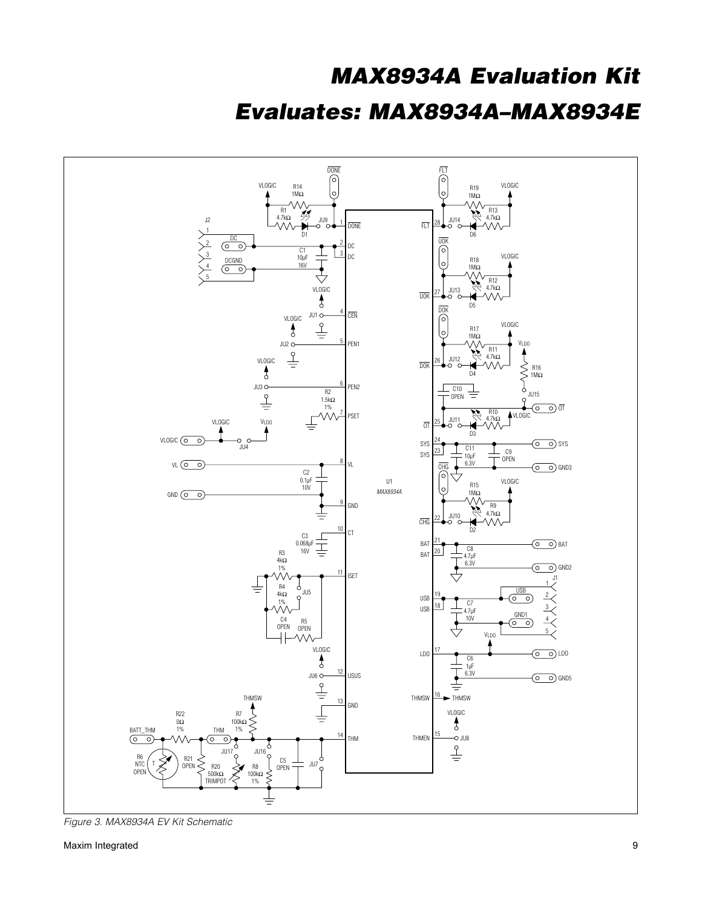

*Figure 3. MAX8934A EV Kit Schematic*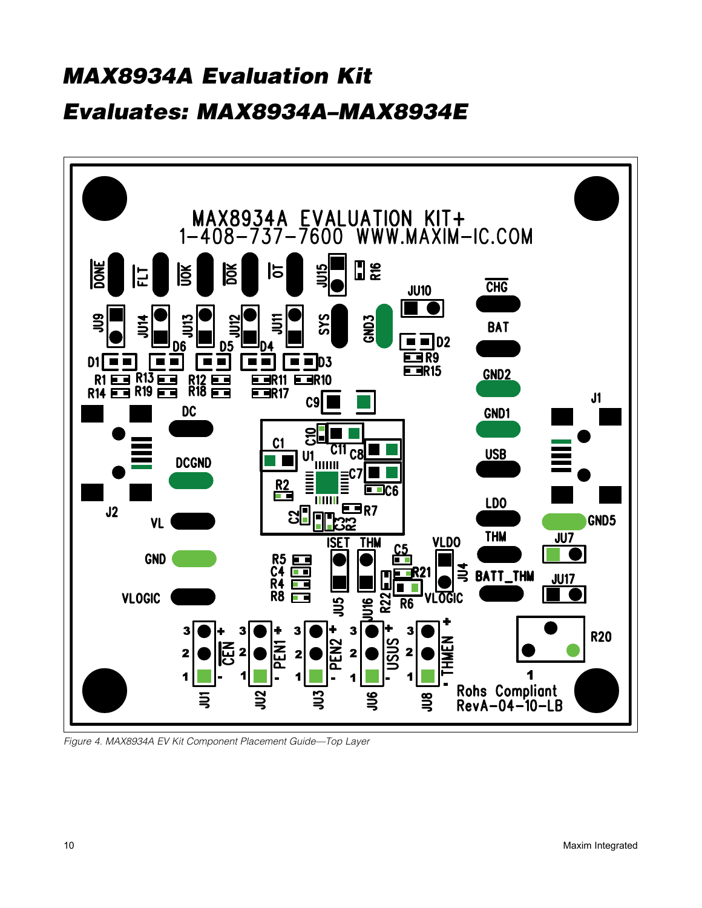

*Figure 4. MAX8934A EV Kit Component Placement Guide—Top Layer*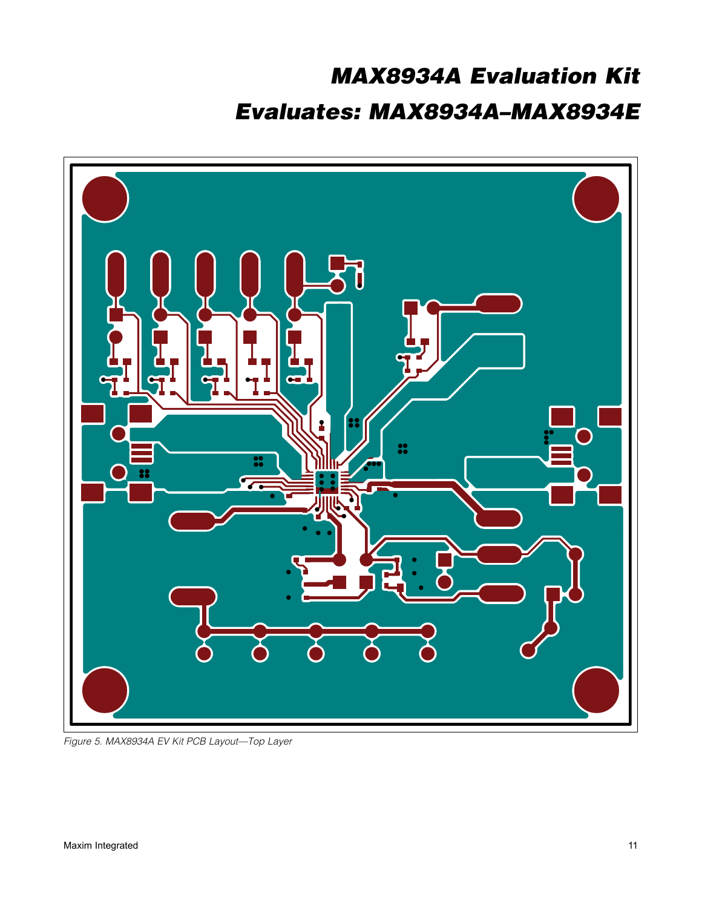

*Figure 5. MAX8934A EV Kit PCB Layout—Top Layer*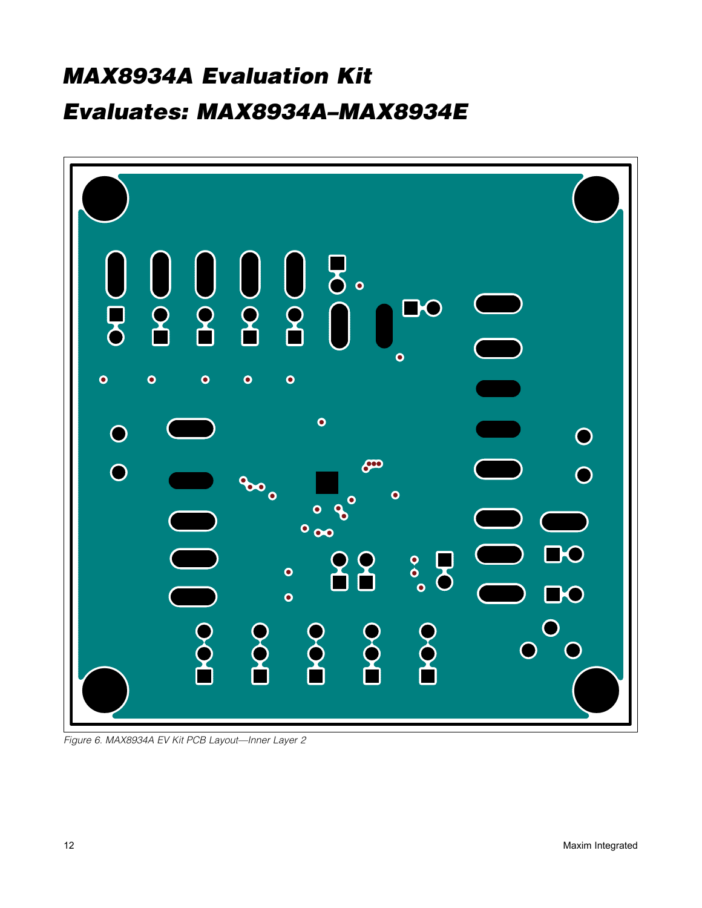

*Figure 6. MAX8934A EV Kit PCB Layout—Inner Layer 2*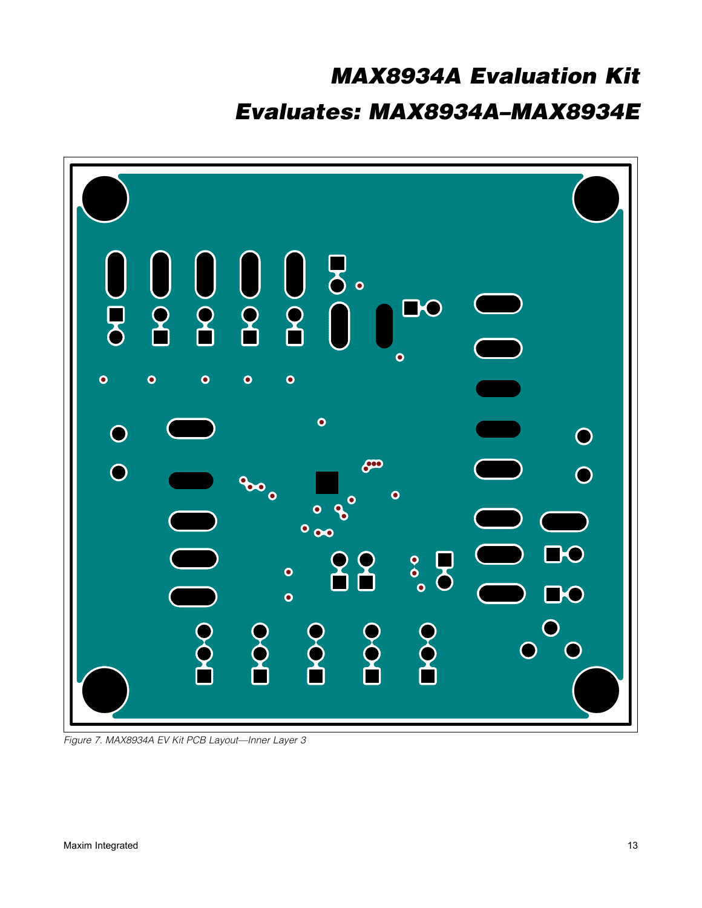

*Figure 7. MAX8934A EV Kit PCB Layout—Inner Layer 3*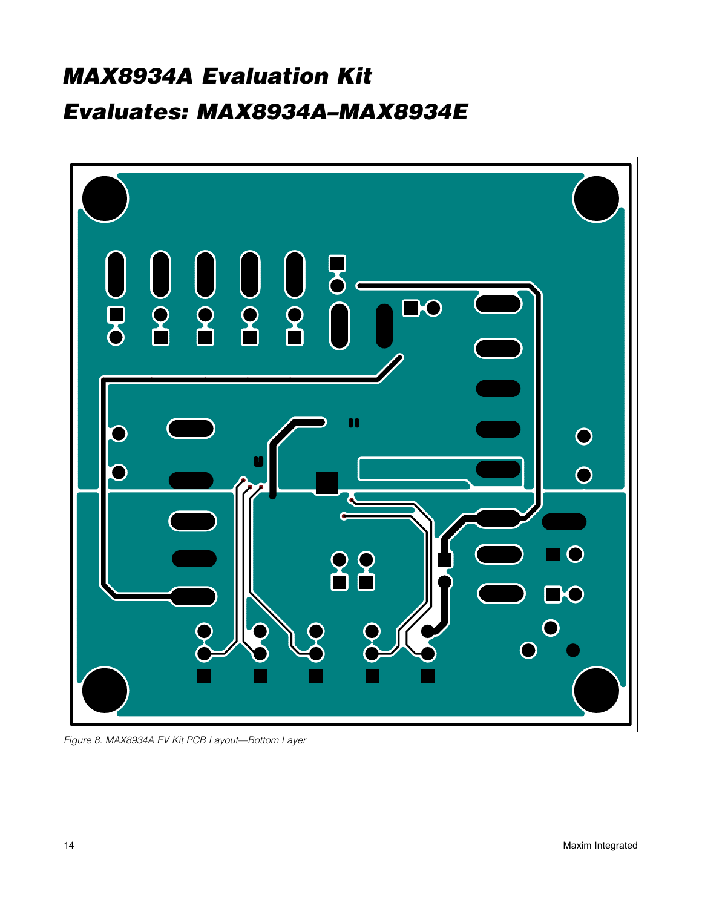

*Figure 8. MAX8934A EV Kit PCB Layout—Bottom Layer*